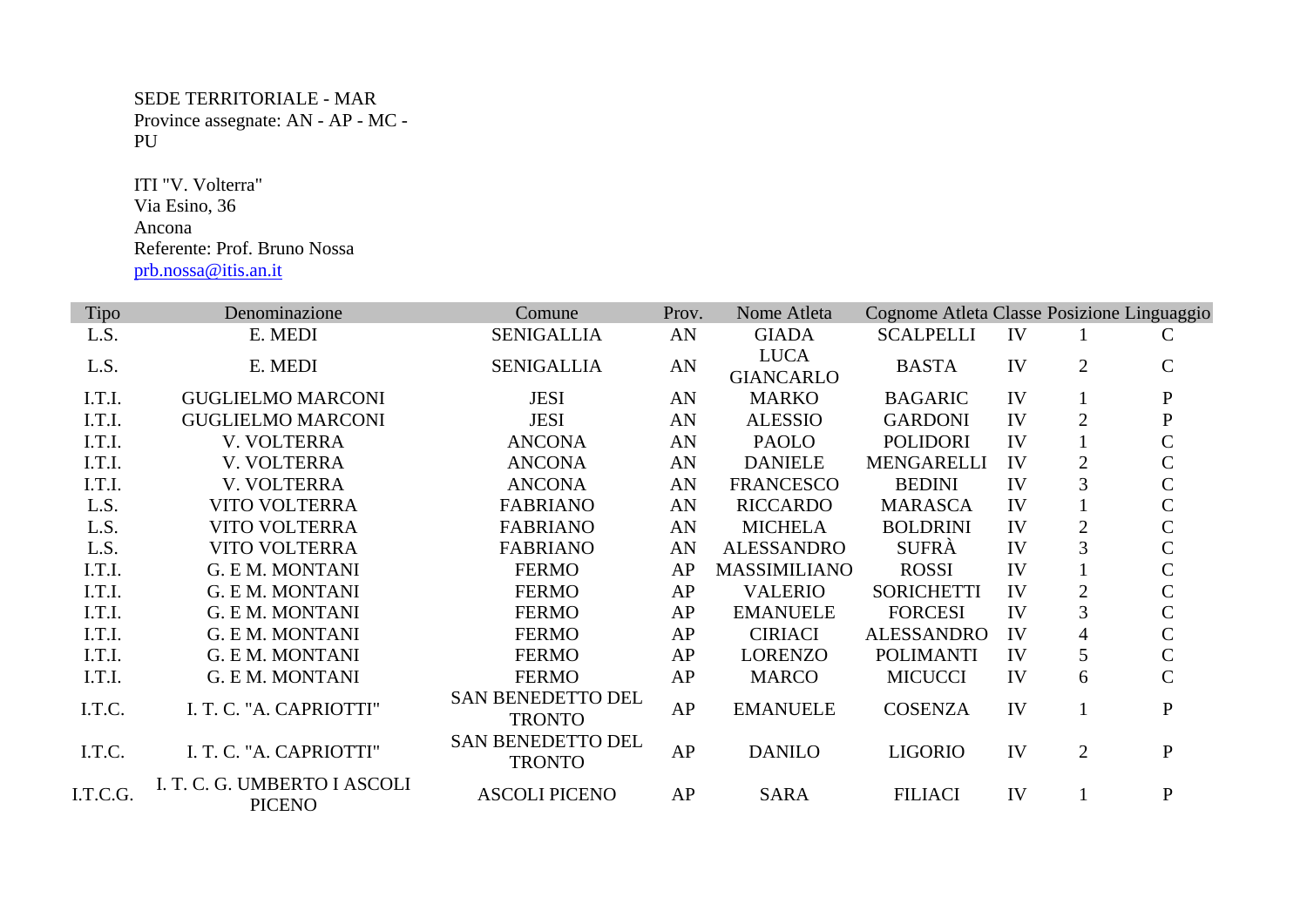SEDE TERRITORIALE - MAR Province assegnate: AN - AP - MC - PU

 ITI "V. Volterra" Via Esino, 36 Ancona Referente: Prof. Bruno Nossa prb.nossa@itis.an.it

| Tipo     | Denominazione                                 | Comune                                    | Prov. | Nome Atleta                     | Cognome Atleta Classe Posizione Linguaggio |    |                |               |
|----------|-----------------------------------------------|-------------------------------------------|-------|---------------------------------|--------------------------------------------|----|----------------|---------------|
| L.S.     | E. MEDI                                       | <b>SENIGALLIA</b>                         | AN    | <b>GIADA</b>                    | <b>SCALPELLI</b>                           | IV |                | C             |
| L.S.     | E. MEDI                                       | <b>SENIGALLIA</b>                         | AN    | <b>LUCA</b><br><b>GIANCARLO</b> | <b>BASTA</b>                               | IV | $\overline{2}$ | $\mathbf C$   |
| I.T.I.   | <b>GUGLIELMO MARCONI</b>                      | <b>JESI</b>                               | AN    | <b>MARKO</b>                    | <b>BAGARIC</b>                             | IV |                | $\mathbf{P}$  |
| I.T.I.   | <b>GUGLIELMO MARCONI</b>                      | <b>JESI</b>                               | AN    | <b>ALESSIO</b>                  | <b>GARDONI</b>                             | IV | $\overline{2}$ | $\mathbf P$   |
| I.T.I.   | V. VOLTERRA                                   | <b>ANCONA</b>                             | AN    | <b>PAOLO</b>                    | <b>POLIDORI</b>                            | IV |                | $\mathsf{C}$  |
| I.T.I.   | V. VOLTERRA                                   | <b>ANCONA</b>                             | AN    | <b>DANIELE</b>                  | <b>MENGARELLI</b>                          | IV | $\overline{2}$ | $\mathcal{C}$ |
| I.T.I.   | V. VOLTERRA                                   | <b>ANCONA</b>                             | AN    | <b>FRANCESCO</b>                | <b>BEDINI</b>                              | IV | 3              | $\mathsf{C}$  |
| L.S.     | <b>VITO VOLTERRA</b>                          | <b>FABRIANO</b>                           | AN    | <b>RICCARDO</b>                 | <b>MARASCA</b>                             | IV |                | $\mathsf{C}$  |
| L.S.     | <b>VITO VOLTERRA</b>                          | <b>FABRIANO</b>                           | AN    | <b>MICHELA</b>                  | <b>BOLDRINI</b>                            | IV | $\overline{2}$ | $\mathsf{C}$  |
| L.S.     | <b>VITO VOLTERRA</b>                          | <b>FABRIANO</b>                           | AN    | <b>ALESSANDRO</b>               | <b>SUFRA</b>                               | IV | 3              | $\mathsf{C}$  |
| I.T.I.   | <b>G. E M. MONTANI</b>                        | <b>FERMO</b>                              | AP    | <b>MASSIMILIANO</b>             | <b>ROSSI</b>                               | IV |                | $\mathsf{C}$  |
| I.T.I.   | <b>G. E M. MONTANI</b>                        | <b>FERMO</b>                              | AP    | <b>VALERIO</b>                  | <b>SORICHETTI</b>                          | IV | $\mathfrak{2}$ | $\mathsf{C}$  |
| I.T.I.   | G. E.M. MONTANI                               | <b>FERMO</b>                              | AP    | <b>EMANUELE</b>                 | <b>FORCESI</b>                             | IV | 3              | $\mathsf{C}$  |
| I.T.I.   | <b>G. E M. MONTANI</b>                        | <b>FERMO</b>                              | AP    | <b>CIRIACI</b>                  | <b>ALESSANDRO</b>                          | IV | $\overline{4}$ | $\mathsf{C}$  |
| I.T.I.   | G. E.M. MONTANI                               | <b>FERMO</b>                              | AP    | <b>LORENZO</b>                  | <b>POLIMANTI</b>                           | IV | 5              | $\mathsf{C}$  |
| I.T.I.   | G. E.M. MONTANI                               | <b>FERMO</b>                              | AP    | <b>MARCO</b>                    | <b>MICUCCI</b>                             | IV | 6              | $\mathsf{C}$  |
| I.T.C.   | I. T. C. "A. CAPRIOTTI"                       | <b>SAN BENEDETTO DEL</b><br><b>TRONTO</b> | AP    | <b>EMANUELE</b>                 | <b>COSENZA</b>                             | IV |                | ${\bf P}$     |
| I.T.C.   | I. T. C. "A. CAPRIOTTI"                       | SAN BENEDETTO DEL<br><b>TRONTO</b>        | AP    | <b>DANILO</b>                   | <b>LIGORIO</b>                             | IV | $\overline{2}$ | $\mathbf{P}$  |
| I.T.C.G. | I. T. C. G. UMBERTO I ASCOLI<br><b>PICENO</b> | <b>ASCOLI PICENO</b>                      | AP    | <b>SARA</b>                     | <b>FILIACI</b>                             | IV |                | $\mathbf{P}$  |